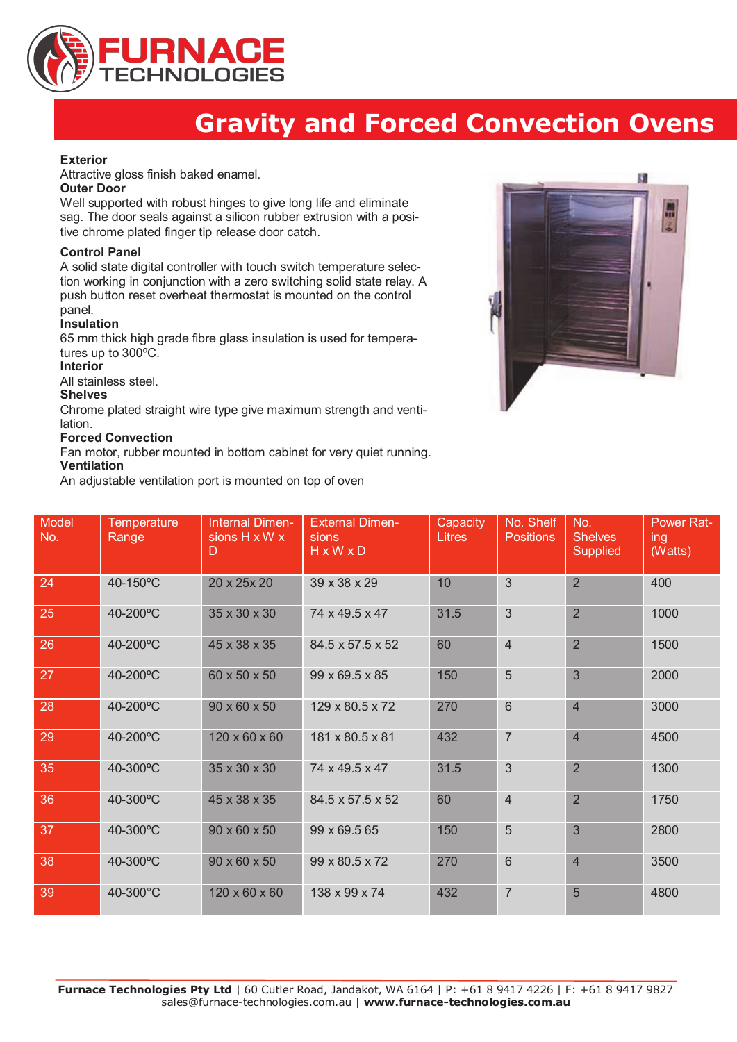

# **Gravity and Forced Convection Ovens**

## **Exterior**

Attractive gloss finish baked enamel.

#### **Outer Door**

Well supported with robust hinges to give long life and eliminate sag. The door seals against a silicon rubber extrusion with a positive chrome plated finger tip release door catch.

## **Control Panel**

A solid state digital controller with touch switch temperature selection working in conjunction with a zero switching solid state relay. A push button reset overheat thermostat is mounted on the control panel.

## **Insulation**

65 mm thick high grade fibre glass insulation is used for temperatures up to 300ºC.

#### **Interior**

All stainless steel.

#### **Shelves**

Chrome plated straight wire type give maximum strength and ventilation.

## **Forced Convection**

Fan motor, rubber mounted in bottom cabinet for very quiet running. **Ventilation**

An adjustable ventilation port is mounted on top of oven



| Model<br>No. | Temperature<br>Range | <b>Internal Dimen-</b><br>sions H x W x<br>D | <b>External Dimen-</b><br>sions<br>HxWxD | Capacity<br><b>Litres</b> | No. Shelf<br><b>Positions</b> | No.<br><b>Shelves</b><br><b>Supplied</b> | <b>Power Rat-</b><br>ing<br>(Watts) |
|--------------|----------------------|----------------------------------------------|------------------------------------------|---------------------------|-------------------------------|------------------------------------------|-------------------------------------|
| 24           | 40-150°C             | 20 x 25x 20                                  | 39 x 38 x 29                             | 10                        | $\mathfrak{Z}$                | $\overline{2}$                           | 400                                 |
| 25           | 40-200°C             | 35 x 30 x 30                                 | 74 x 49.5 x 47                           | 31.5                      | $\mathfrak{S}$                | $\overline{2}$                           | 1000                                |
| 26           | 40-200°C             | 45 x 38 x 35                                 | 84.5 x 57.5 x 52                         | 60                        | $\overline{4}$                | $\overline{2}$                           | 1500                                |
| 27           | 40-200°C             | 60 x 50 x 50                                 | 99 x 69.5 x 85                           | 150                       | 5                             | 3                                        | 2000                                |
| 28           | 40-200°C             | $90 \times 60 \times 50$                     | 129 x 80.5 x 72                          | 270                       | $6\phantom{1}6$               | $\overline{4}$                           | 3000                                |
| 29           | 40-200°C             | 120 x 60 x 60                                | 181 x 80.5 x 81                          | 432                       | $\overline{7}$                | $\overline{4}$                           | 4500                                |
| 35           | 40-300°C             | 35 x 30 x 30                                 | 74 x 49.5 x 47                           | 31.5                      | 3                             | $\overline{2}$                           | 1300                                |
| 36           | 40-300°C             | 45 x 38 x 35                                 | 84.5 x 57.5 x 52                         | 60                        | $\overline{4}$                | $\overline{2}$                           | 1750                                |
| 37           | 40-300°C             | $90 \times 60 \times 50$                     | 99 x 69.5 65                             | 150                       | 5                             | 3                                        | 2800                                |
| 38           | 40-300°C             | 90 x 60 x 50                                 | 99 x 80.5 x 72                           | 270                       | $6\phantom{1}$                | $\overline{4}$                           | 3500                                |
| 39           | 40-300°C             | 120 x 60 x 60                                | 138 x 99 x 74                            | 432                       | $\overline{7}$                | 5                                        | 4800                                |